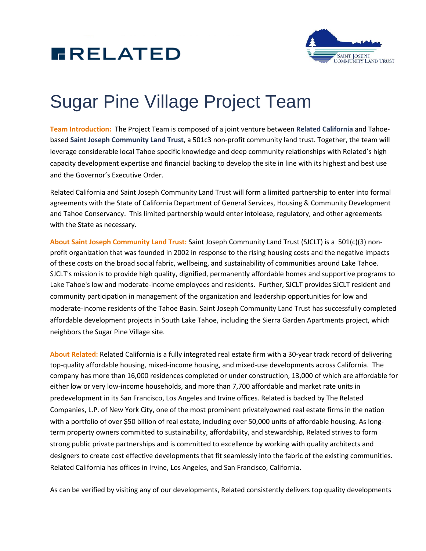



## Sugar Pine Village Project Team

**Team Introduction:** The Project Team is composed of a joint venture between **Related California** and Tahoebased **Saint Joseph Community Land Trust**, a 501c3 non-profit community land trust. Together, the team will leverage considerable local Tahoe specific knowledge and deep community relationships with Related's high capacity development expertise and financial backing to develop the site in line with its highest and best use and the Governor's Executive Order.

Related California and Saint Joseph Community Land Trust will form a limited partnership to enter into formal agreements with the State of California Department of General Services, Housing & Community Development and Tahoe Conservancy. This limited partnership would enter intolease, regulatory, and other agreements with the State as necessary.

**About Saint Joseph Community Land Trust:** Saint Joseph Community Land Trust (SJCLT) is a 501(c)(3) nonprofit organization that was founded in 2002 in response to the rising housing costs and the negative impacts of these costs on the broad social fabric, wellbeing, and sustainability of communities around Lake Tahoe. SJCLT's mission is to provide high quality, dignified, permanently affordable homes and supportive programs to Lake Tahoe's low and moderate-income employees and residents. Further, SJCLT provides SJCLT resident and community participation in management of the organization and leadership opportunities for low and moderate-income residents of the Tahoe Basin. Saint Joseph Community Land Trust has successfully completed affordable development projects in South Lake Tahoe, including the Sierra Garden Apartments project, which neighbors the Sugar Pine Village site.

**About Related:** Related California is a fully integrated real estate firm with a 30-year track record of delivering top-quality affordable housing, mixed-income housing, and mixed-use developments across California. The company has more than 16,000 residences completed or under construction, 13,000 of which are affordable for either low or very low-income households, and more than 7,700 affordable and market rate units in predevelopment in its San Francisco, Los Angeles and Irvine offices. Related is backed by The Related Companies, L.P. of New York City, one of the most prominent privatelyowned real estate firms in the nation with a portfolio of over \$50 billion of real estate, including over 50,000 units of affordable housing. As longterm property owners committed to sustainability, affordability, and stewardship, Related strives to form strong public private partnerships and is committed to excellence by working with quality architects and designers to create cost effective developments that fit seamlessly into the fabric of the existing communities. Related California has offices in Irvine, Los Angeles, and San Francisco, California.

As can be verified by visiting any of our developments, Related consistently delivers top quality developments